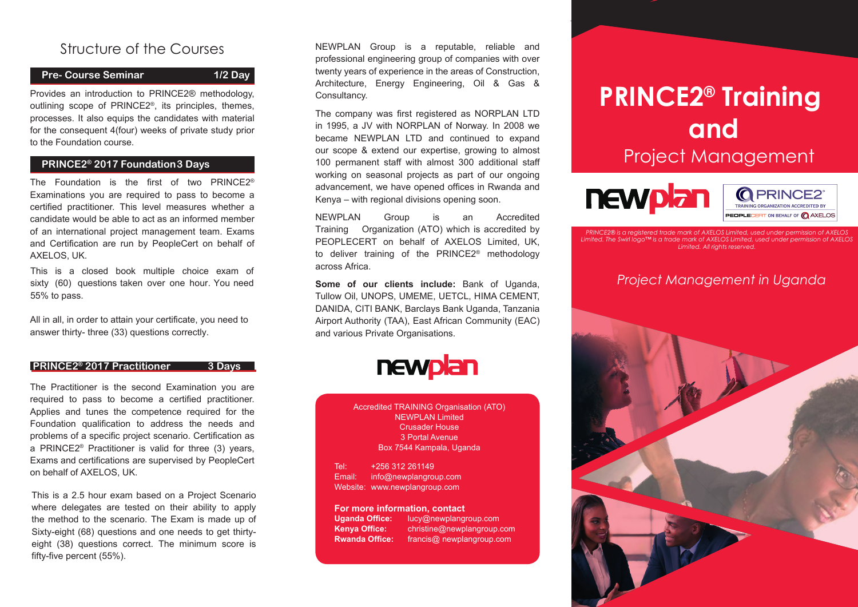### Structure of the Courses

### **Pre- Course Seminar 1/2 Day**

Provides an introduction to PRINCE2® methodology, outlining scope of PRINCE2®, its principles, themes, processes. It also equips the candidates with material for the consequent 4(four) weeks of private study prior to the Foundation course.

### **PRINCE2® 2017 Foundation3 Days**

The Foundation is the first of two PRINCE2® Examinations you are required to pass to become a certified practitioner. This level measures whether a candidate would be able to act as an informed member of an international project management team. Exams and Certification are run by PeopleCert on behalf of AXELOS, UK.

This is a closed book multiple choice exam of sixty (60) questions taken over one hour. You need 55% to pass.

All in all, in order to attain your certificate, you need to answer thirty- three (33) questions correctly.

#### **PRINCE2® 2017 Practitioner 3 Days**

The Practitioner is the second Examination you are required to pass to become a certified practitioner. Applies and tunes the competence required for the Foundation qualification to address the needs and problems of a specific project scenario. Certification as a PRINCE2® Practitioner is valid for three (3) years, Exams and certifications are supervised by PeopleCert on behalf of AXELOS, UK.

This is a 2.5 hour exam based on a Project Scenario where delegates are tested on their ability to apply the method to the scenario. The Exam is made up of Sixty-eight (68) questions and one needs to get thirtyeight (38) questions correct. The minimum score is fifty-five percent (55%).

NEWPLAN Group is a reputable, reliable and professional engineering group of companies with over twenty years of experience in the areas of Construction, Architecture, Energy Engineering, Oil & Gas & Consultancy.

The company was first registered as NORPLAN LTD in 1995, a JV with NORPLAN of Norway. In 2008 we became NEWPLAN LTD and continued to expand our scope & extend our expertise, growing to almost 100 permanent staff with almost 300 additional staff working on seasonal projects as part of our ongoing advancement, we have opened offices in Rwanda and Kenya – with regional divisions opening soon.

NEWPLAN Group is an Accredited Training Organization (ATO) which is accredited by PEOPLECERT on behalf of AXELOS Limited, UK, to deliver training of the PRINCE2® methodology across Africa.

**Some of our clients include:** Bank of Uganda, Tullow Oil, UNOPS, UMEME, UETCL, HIMA CEMENT, DANIDA, CITI BANK, Barclays Bank Uganda, Tanzania Airport Authority (TAA), East African Community (EAC) and various Private Organisations.

# newplan

Accredited TRAINING Organisation (ATO) NEWPLAN Limited Crusader House 3 Portal Avenue Box 7544 Kampala, Uganda

Tel: +256 312 261149 Email: info@newplangroup.com Website: www.newplangroup.com

## **For more information, contact Uganda Office:** lucy@newplang

**lucy@newplangroup.com Kenya Office:** christine@newplangroup.com francis@ newplangroup.com

# **PRINCE2® Training and** Project Management





*PRINCE2® is a registered trade mark of AXELOS Limited, used under Limited. The Swirl logo™ is a trade mark of AXELOS Limited, used under permission of AXELOS Limited. All rights reserved.*

### *Project Management in Uganda*